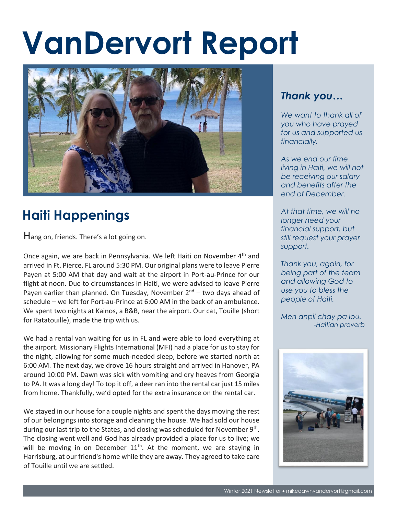## **VanDervort Report**



## **Haiti Happenings**

Hang on, friends. There's a lot going on.

Once again, we are back in Pennsylvania. We left Haiti on November 4<sup>th</sup> and arrived in Ft. Pierce, FL around 5:30 PM. Our original plans were to leave Pierre Payen at 5:00 AM that day and wait at the airport in Port-au-Prince for our flight at noon. Due to circumstances in Haiti, we were advised to leave Pierre Payen earlier than planned. On Tuesday, November  $2^{nd}$  – two days ahead of schedule – we left for Port-au-Prince at 6:00 AM in the back of an ambulance. We spent two nights at Kainos, a B&B, near the airport. Our cat, Touille (short for Ratatouille), made the trip with us.

We had a rental van waiting for us in FL and were able to load everything at the airport. Missionary Flights International (MFI) had a place for us to stay for the night, allowing for some much-needed sleep, before we started north at 6:00 AM. The next day, we drove 16 hours straight and arrived in Hanover, PA around 10:00 PM. Dawn was sick with vomiting and dry heaves from Georgia to PA. It was a long day! To top it off, a deer ran into the rental car just 15 miles from home. Thankfully, we'd opted for the extra insurance on the rental car.

We stayed in our house for a couple nights and spent the days moving the rest of our belongings into storage and cleaning the house. We had sold our house during our last trip to the States, and closing was scheduled for November 9<sup>th</sup>. The closing went well and God has already provided a place for us to live; we will be moving in on December  $11<sup>th</sup>$ . At the moment, we are staying in Harrisburg, at our friend's home while they are away. They agreed to take care of Touille until we are settled.

## *Thank you…*

*We want to thank all of you who have prayed for us and supported us financially.*

*As we end our time living in Haiti, we will not be receiving our salary and benefits after the end of December.* 

*At that time, we will no longer need your financial support, but still request your prayer support.* 

*Thank you, again, for being part of the team and allowing God to use you to bless the people of Haiti.*

*Men anpil chay pa lou. -Haitian proverb*